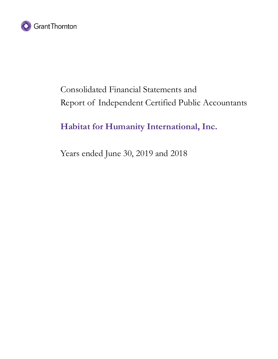

# Consolidated Financial Statements and Report of Independent Certified Public Accountants

# **Habitat for Humanity International, Inc.**

Years ended June 30, 2019 and 2018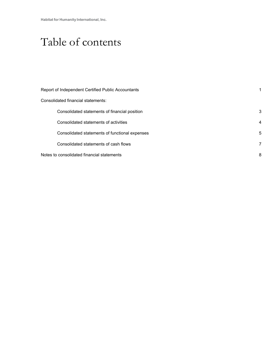# Table of contents

| Report of Independent Certified Public Accountants |                |
|----------------------------------------------------|----------------|
| Consolidated financial statements:                 |                |
| Consolidated statements of financial position      | 3              |
| Consolidated statements of activities              | 4              |
| Consolidated statements of functional expenses     | 5              |
| Consolidated statements of cash flows              | $\overline{7}$ |
| Notes to consolidated financial statements         | 8              |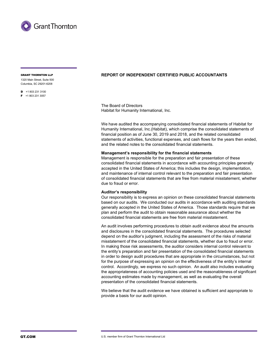

1320 Main Street, Suite 500 Columbia, SC 29201-6208

 $\overline{D}$  +1 803 231 3100

F +1 803 231 3057

## GRANT THORNTON LLP **REPORT OF INDEPENDENT CERTIFIED PUBLIC ACCOUNTANTS**

The Board of Directors Habitat for Humanity International, Inc.

We have audited the accompanying consolidated financial statements of Habitat for Humanity International, Inc.(Habitat), which comprise the consolidated statements of financial position as of June 30, 2019 and 2018, and the related consolidated statements of activities, functional expenses, and cash flows for the years then ended, and the related notes to the consolidated financial statements.

#### **Management's responsibility for the financial statements**

Management is responsible for the preparation and fair presentation of these consolidated financial statements in accordance with accounting principles generally accepted in the United States of America; this includes the design, implementation, and maintenance of internal control relevant to the preparation and fair presentation of consolidated financial statements that are free from material misstatement, whether due to fraud or error.

## **Auditor's responsibility**

Our responsibility is to express an opinion on these consolidated financial statements based on our audits. We conducted our audits in accordance with auditing standards generally accepted in the United States of America. Those standards require that we plan and perform the audit to obtain reasonable assurance about whether the consolidated financial statements are free from material misstatement.

An audit involves performing procedures to obtain audit evidence about the amounts and disclosures in the consolidated financial statements. The procedures selected depend on the auditor's judgment, including the assessment of the risks of material misstatement of the consolidated financial statements, whether due to fraud or error. In making those risk assessments, the auditor considers internal control relevant to the entity's preparation and fair presentation of the consolidated financial statements in order to design audit procedures that are appropriate in the circumstances, but not for the purpose of expressing an opinion on the effectiveness of the entity's internal control. Accordingly, we express no such opinion. An audit also includes evaluating the appropriateness of accounting policies used and the reasonableness of significant accounting estimates made by management, as well as evaluating the overall presentation of the consolidated financial statements.

We believe that the audit evidence we have obtained is sufficient and appropriate to provide a basis for our audit opinion.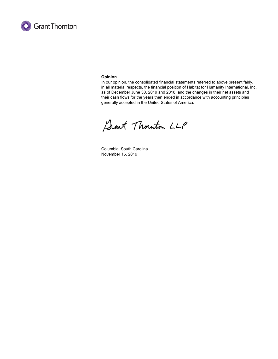

#### **Opinion**

In our opinion, the consolidated financial statements referred to above present fairly, in all material respects, the financial position of Habitat for Humanity International, Inc. as of December June 30, 2019 and 2018, and the changes in their net assets and their cash flows for the years then ended in accordance with accounting principles generally accepted in the United States of America.

Sant Thouton LLP

Columbia, South Carolina November 15, 2019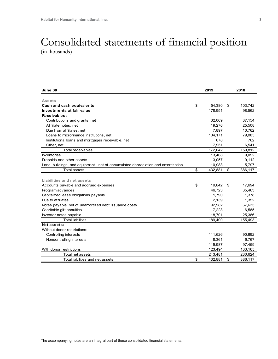# Consolidated statements of financial position (in thousands)

| June 30                                                                           | 2019          | 2018          |
|-----------------------------------------------------------------------------------|---------------|---------------|
|                                                                                   |               |               |
| Assets                                                                            |               |               |
| Cash and cash equivalents                                                         | \$<br>54,380  | \$<br>103,742 |
| Investments at fair value                                                         | 178,951       | 98,562        |
| Receivables:                                                                      |               |               |
| Contributions and grants, net                                                     | 32,069        | 37,154        |
| Affiliate notes, net                                                              | 19,276        | 25,508        |
| Due from affiliates, net                                                          | 7,897         | 10,762        |
| Loans to microfinance institutions, net                                           | 104,171       | 79,085        |
| Institutional loans and mortgages receivable, net                                 | 678           | 762           |
| Other, net                                                                        | 7,951         | 6.541         |
| <b>Total receivables</b>                                                          | 172,042       | 159,812       |
| <b>Inventories</b>                                                                | 13,468        | 9,092         |
| Prepaids and other assets                                                         | 3,057         | 9,112         |
| Land, buildings, and equipment - net of accumulated depreciation and amortization | 10,983        | 5,797         |
| <b>Total assets</b>                                                               | \$<br>432,881 | \$<br>386,117 |
|                                                                                   |               |               |
| Liabilities and net assets                                                        |               |               |
| Accounts payable and accrued expenses                                             | \$<br>19,842  | \$<br>17,694  |
| Program advances                                                                  | 46,723        | 35,463        |
| Capitalized lease obligations payable                                             | 1,790         | 1,378         |
| Due to affiliates                                                                 | 2,139         | 1,352         |
| Notes payable, net of unamortized debt issuance costs                             | 92,982        | 67,635        |
| Charitable gift annuities                                                         | 7,223         | 6,585         |
| Investor notes payable                                                            | 18,701        | 25,386        |
| <b>Total liabilities</b>                                                          | 189,400       | 155,493       |
| Net assets:                                                                       |               |               |
| Without donor restrictions:                                                       |               |               |
| Controlling interests                                                             | 111,626       | 90,692        |
| Noncontrolling interests                                                          | 8,361         | 6.767         |
|                                                                                   | 119,987       | 97,459        |
| With donor restrictions                                                           | 123,494       | 133,165       |
| Total net assets                                                                  | 243,481       | 230,624       |
| Total liabilities and net assets                                                  | \$<br>432.881 | \$<br>386,117 |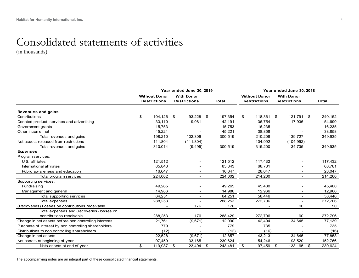# Consolidated statements of activities

(in thousands)

|                                                       |                      |     | Year ended June 30, 2019 |               | Year ended June 30, 2018 |                      |    |                          |    |              |  |  |
|-------------------------------------------------------|----------------------|-----|--------------------------|---------------|--------------------------|----------------------|----|--------------------------|----|--------------|--|--|
|                                                       | <b>Without Donor</b> |     | <b>With Donor</b>        |               |                          | <b>Without Donor</b> |    | <b>With Donor</b>        |    |              |  |  |
|                                                       | <b>Restrictions</b>  |     | <b>Restrictions</b>      | <b>Total</b>  |                          | <b>Restrictions</b>  |    | <b>Restrictions</b>      |    | <b>Total</b> |  |  |
| Revenues and gains                                    |                      |     |                          |               |                          |                      |    |                          |    |              |  |  |
| Contributions                                         | \$<br>104,126        | -\$ | 93.228                   | \$<br>197,354 | \$                       | 118,361              | \$ | 121,791                  | \$ | 240,152      |  |  |
| Donated product, services and advertising             | 33,110               |     | 9,081                    | 42,191        |                          | 36,754               |    | 17,936                   |    | 54,690       |  |  |
| Government grants                                     | 15,753               |     |                          | 15,753        |                          | 16,235               |    |                          |    | 16,235       |  |  |
| Other income, net                                     | 45,221               |     |                          | 45,221        |                          | 38,858               |    |                          |    | 38,858       |  |  |
| Total revenues and gains                              | 198,210              |     | 102,309                  | 300,519       |                          | 210,208              |    | 139,727                  |    | 349,935      |  |  |
| Net assets released from restrictions                 | 111,804              |     | (111, 804)               |               |                          | 104,992              |    | (104, 992)               |    |              |  |  |
| Total revenues and gains                              | 310,014              |     | (9, 495)                 | 300,519       |                          | 315,200              |    | 34,735                   |    | 349,935      |  |  |
| <b>Expenses</b>                                       |                      |     |                          |               |                          |                      |    |                          |    |              |  |  |
| Program services:                                     |                      |     |                          |               |                          |                      |    |                          |    |              |  |  |
| U.S. affiliates                                       | 121,512              |     |                          | 121,512       |                          | 117,432              |    |                          |    | 117,432      |  |  |
| International affiliates                              | 85,843               |     |                          | 85,843        |                          | 68,781               |    |                          |    | 68,781       |  |  |
| Public aw areness and education                       | 16.647               |     |                          | 16,647        |                          | 28,047               |    |                          |    | 28,047       |  |  |
| Total program services                                | 224,002              |     |                          | 224,002       |                          | 214,260              |    | $\overline{a}$           |    | 214,260      |  |  |
| Supporting services:                                  |                      |     |                          |               |                          |                      |    |                          |    |              |  |  |
| Fundraising                                           | 49,265               |     |                          | 49,265        |                          | 45,480               |    | $\overline{\phantom{a}}$ |    | 45,480       |  |  |
| Management and general                                | 14,986               |     |                          | 14,986        |                          | 12,966               |    |                          |    | 12,966       |  |  |
| Total supporting services                             | 64.251               |     | $\overline{\phantom{a}}$ | 64,251        |                          | 58,446               |    | $\overline{\phantom{a}}$ |    | 58,446       |  |  |
| Total expenses                                        | 288,253              |     | $\overline{\phantom{a}}$ | 288,253       |                          | 272,706              |    | $\overline{\phantom{a}}$ |    | 272,706      |  |  |
| (Recoveries) Losses on contributions receivable       |                      |     | 176                      | 176           |                          |                      |    | 90                       |    | 90           |  |  |
| Total expenses and (recoveries) losses on             |                      |     |                          |               |                          |                      |    |                          |    |              |  |  |
| contributions receivable                              | 288,253              |     | 176                      | 288,429       |                          | 272,706              |    | 90                       |    | 272,796      |  |  |
| Change in net assets before non controlling interests | 21,761               |     | (9,671)                  | 12,090        |                          | 42,494               |    | 34,645                   |    | 77,139       |  |  |
| Purchase of interest by non controlling shareholders  | 779                  |     |                          | 779           |                          | 735                  |    |                          |    | 735          |  |  |
| Distributions to non controlling shareholders         | (12)                 |     |                          | (12)          |                          | (16)                 |    |                          |    | (16)         |  |  |
| Change in net assets                                  | 22,528               |     | (9,671)                  | 12,857        |                          | 43,213               |    | 34,645                   |    | 77,858       |  |  |
| Net assets at beginning of year                       | 97,459               |     | 133,165                  | 230,624       |                          | 54,246               |    | 98,520                   |    | 152,766      |  |  |
| Nets assets at end of year                            | \$<br>119,987        | \$  | 123,494                  | \$<br>243,481 | \$                       | 97,459               | \$ | 133,165                  | \$ | 230,624      |  |  |

The accompanying notes are an integral part of these consolidated financial statements.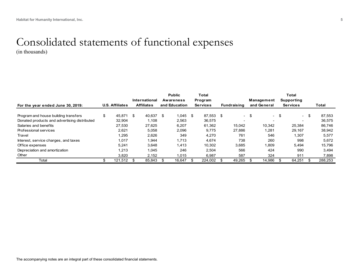# Consolidated statements of functional expenses (in thousands)

| For the year ended June 30, 2019:            |    | <b>U.S. Affiliates</b> |     | International<br><b>Affiliates</b> | <b>Public</b><br>Awareness<br>and Education | <b>Total</b><br>Program<br><b>Services</b> |     | <b>Fundraising</b>       |     | <b>Management</b><br>and General |      | Total<br>Supporting<br><b>Services</b> |     | Total   |
|----------------------------------------------|----|------------------------|-----|------------------------------------|---------------------------------------------|--------------------------------------------|-----|--------------------------|-----|----------------------------------|------|----------------------------------------|-----|---------|
| Program and house building transfers         | \$ | 45.871                 | -\$ | 40,637                             | \$<br>1.045                                 | \$<br>87.553                               | -\$ | $\sim$                   | -\$ | $\sim$ 10 $\,$                   | - \$ | $\sim$                                 | -\$ | 87,553  |
| Donated products and advertising distributed |    | 32,904                 |     | 1,108                              | 2,563                                       | 36,575                                     |     | $\overline{\phantom{0}}$ |     | $\overline{\phantom{0}}$         |      |                                        |     | 36,575  |
| Salaries and benefits                        |    | 27.530                 |     | 27.625                             | 6.207                                       | 61,362                                     |     | 15.042                   |     | 10.342                           |      | 25,384                                 |     | 86.746  |
| Professional services                        |    | 2.621                  |     | 5,058                              | 2,096                                       | 9.775                                      |     | 27.886                   |     | 1,281                            |      | 29,167                                 |     | 38,942  |
| Travel                                       |    | 1.295                  |     | 2.626                              | 349                                         | 4,270                                      |     | 761                      |     | 546                              |      | 1.307                                  |     | 5,577   |
| Interest, service charges, and taxes         |    | 1.017                  |     | 1.944                              | 1,713                                       | 4,674                                      |     | 738                      |     | 260                              |      | 998                                    |     | 5,672   |
| Office expenses                              |    | 5.241                  |     | 3.648                              | 1.413                                       | 10.302                                     |     | 3,685                    |     | 1.809                            |      | 5.494                                  |     | 15,796  |
| Depreciation and amortization                |    | 1.213                  |     | 1.045                              | 246                                         | 2,504                                      |     | 566                      |     | 424                              |      | 990                                    |     | 3,494   |
| Other                                        |    | 3,820                  |     | 2,152                              | 1,015                                       | 6,987                                      |     | 587                      |     | 324                              |      | 911                                    |     | 7.898   |
| Total                                        | £. | 121,512                |     | 85,843                             | 16,647                                      | 224,002                                    |     | 49,265                   |     | 14.986                           |      | 64,251                                 |     | 288,253 |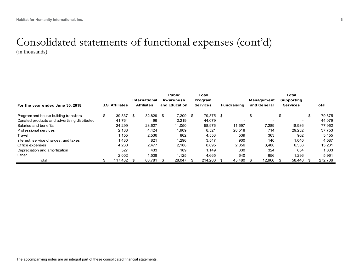# Consolidated statements of functional expenses (cont'd) (in thousands)

| For the year ended June 30, 2018:            | <b>U.S. Affiliates</b> |     | International<br><b>Affiliates</b> |    | <b>Public</b><br>Awareness<br>and Education |     | Total<br>Program<br>Management<br>and General<br><b>Services</b><br>Fundraising |  |                          |  |                          |     |                          |              |  |  |  |  |  |  |  |  |  |  |  |  |  |  |  |  |  |  |  |  |  |  |  |  |  |  |  |  | Total<br>Supporting<br><b>Services</b> |  | Total |
|----------------------------------------------|------------------------|-----|------------------------------------|----|---------------------------------------------|-----|---------------------------------------------------------------------------------|--|--------------------------|--|--------------------------|-----|--------------------------|--------------|--|--|--|--|--|--|--|--|--|--|--|--|--|--|--|--|--|--|--|--|--|--|--|--|--|--|--|--|----------------------------------------|--|-------|
| Program and house building transfers         | \$<br>39,837           | \$. | 32.829                             | \$ | 7.209                                       | \$. | 79.875 \$                                                                       |  | - \$                     |  | $\overline{\phantom{0}}$ | \$. | $\overline{\phantom{0}}$ | \$<br>79,875 |  |  |  |  |  |  |  |  |  |  |  |  |  |  |  |  |  |  |  |  |  |  |  |  |  |  |  |  |                                        |  |       |
| Donated products and advertising distributed | 41.764                 |     | 96                                 |    | 2.219                                       |     | 44.079                                                                          |  | $\overline{\phantom{0}}$ |  | $\overline{\phantom{a}}$ |     |                          | 44.079       |  |  |  |  |  |  |  |  |  |  |  |  |  |  |  |  |  |  |  |  |  |  |  |  |  |  |  |  |                                        |  |       |
| Salaries and benefits                        | 24.299                 |     | 23,627                             |    | 11.050                                      |     | 58,976                                                                          |  | 11,697                   |  | 7,289                    |     | 18,986                   | 77,962       |  |  |  |  |  |  |  |  |  |  |  |  |  |  |  |  |  |  |  |  |  |  |  |  |  |  |  |  |                                        |  |       |
| Professional services                        | 2.188                  |     | 4.424                              |    | 1.909                                       |     | 8.521                                                                           |  | 28.518                   |  | 714                      |     | 29,232                   | 37.753       |  |  |  |  |  |  |  |  |  |  |  |  |  |  |  |  |  |  |  |  |  |  |  |  |  |  |  |  |                                        |  |       |
| Travel                                       | 1,155                  |     | 2,536                              |    | 862                                         |     | 4,553                                                                           |  | 539                      |  | 363                      |     | 902                      | 5,455        |  |  |  |  |  |  |  |  |  |  |  |  |  |  |  |  |  |  |  |  |  |  |  |  |  |  |  |  |                                        |  |       |
| Interest, service charges, and taxes         | 1.430                  |     | 821                                |    | 1,296                                       |     | 3.547                                                                           |  | 900                      |  | 140                      |     | 1.040                    | 4,587        |  |  |  |  |  |  |  |  |  |  |  |  |  |  |  |  |  |  |  |  |  |  |  |  |  |  |  |  |                                        |  |       |
| Office expenses                              | 4,230                  |     | 2,477                              |    | 2.188                                       |     | 8,895                                                                           |  | 2,856                    |  | 3,480                    |     | 6,336                    | 15.231       |  |  |  |  |  |  |  |  |  |  |  |  |  |  |  |  |  |  |  |  |  |  |  |  |  |  |  |  |                                        |  |       |
| Depreciation and amortization                | 527                    |     | 433                                |    | 189                                         |     | 1,149                                                                           |  | 330                      |  | 324                      |     | 654                      | 1,803        |  |  |  |  |  |  |  |  |  |  |  |  |  |  |  |  |  |  |  |  |  |  |  |  |  |  |  |  |                                        |  |       |
| Other                                        | 2.002                  |     | 1.538                              |    | 1.125                                       |     | 4.665                                                                           |  | 640                      |  | 656                      |     | 1.296                    | 5,961        |  |  |  |  |  |  |  |  |  |  |  |  |  |  |  |  |  |  |  |  |  |  |  |  |  |  |  |  |                                        |  |       |
| Total                                        | 117,432                |     | 68,781                             |    | 28,047                                      |     | 214.260                                                                         |  | 45.480                   |  | 12,966                   |     | 58,446                   | 272,706      |  |  |  |  |  |  |  |  |  |  |  |  |  |  |  |  |  |  |  |  |  |  |  |  |  |  |  |  |                                        |  |       |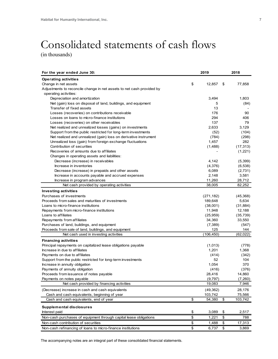# Consolidated statements of cash flows

(in thousands)

| For the year ended June 30:                                           | 2019 |            |    |           |  |
|-----------------------------------------------------------------------|------|------------|----|-----------|--|
| <b>Operating activities</b>                                           |      |            |    |           |  |
| Change in net assets                                                  | \$   | 12,857     | \$ | 77,858    |  |
| Adjustments to reconcile change in net assets to net cash provided by |      |            |    |           |  |
| operating activities:                                                 |      |            |    |           |  |
| Depreciation and amortization                                         |      | 3,494      |    | 1.803     |  |
| Net (gain) loss on disposal of land, buildings, and equipment         |      | 5          |    | (84)      |  |
| Transfer of fixed assets                                              |      | 13         |    |           |  |
| Losses (recoveries) on contributions receivable                       |      | 176        |    | 90        |  |
| Losses on loans to micro-finance institutions                         |      | 294        |    | 406       |  |
| Losses (recoveries) on other receivables                              |      | 137        |    | 79        |  |
| Net realized and unrealized losses (gains) on investments             |      | 2,633      |    | 3,129     |  |
| Support from the public restricted for long-term investments          |      | (52)       |    | (104)     |  |
| Net realized and unrealized (gain) loss on derivative instrument      |      | (784)      |    | (298)     |  |
| Unrealized loss (gain) from foreign exchange fluctuations             |      | 1,457      |    | 282       |  |
| Contribution of securities                                            |      | (1,488)    |    | (17, 313) |  |
| Recoveries of amounts due to affiliates                               |      |            |    | (1,221)   |  |
| Changes in operating assets and liabilities:                          |      |            |    |           |  |
| Decrease (increase) in receivables                                    |      | 4,142      |    | (5,399)   |  |
| Increase in inventories                                               |      | (4,376)    |    | (6, 538)  |  |
| Decrease (increase) in prepaids and other assets                      |      | 6,089      |    | (2,731)   |  |
| Increase in accounts payable and accrued expenses                     |      | 2,148      |    | 3,581     |  |
| Increase in program advances                                          |      | 11,260     |    | 28,712    |  |
| Net cash provided by operating activities                             |      | 38,005     |    | 82,252    |  |
| <b>Investing activities</b>                                           |      |            |    |           |  |
| Purchases of investments                                              |      | (271, 182) |    | (45,368)  |  |
| Proceeds from sales and maturities of investments                     |      | 189,648    |    | 5,634     |  |
| Loans to micro-finance institutions                                   |      | (38,001)   |    | (31, 884) |  |
| Repayments from micro-finance institutions                            |      | 11,948     |    | 12,188    |  |
| Loans to affiliates                                                   |      | (25,959)   |    | (35, 739) |  |
| Repayments from affiliates                                            |      | 34,360     |    | 33,550    |  |
| Purchases of land, buildings, and equipment                           |      | (7, 389)   |    | (547)     |  |
| Proceeds from sale of land, buildings, and equipment                  |      | 125        |    | 144       |  |
| Net cash used in investing activities                                 |      | (106, 450) |    | (62,022)  |  |
|                                                                       |      |            |    |           |  |
| <b>Financing activities</b>                                           |      |            |    |           |  |
| Principal repayments on capitalized lease obligations payable         |      | (1,013)    |    | (778)     |  |
| Increase in due to affiliates                                         |      | 1,201      |    | 1,368     |  |
| Payments on due to affiliates                                         |      | (414)      |    | (342)     |  |
| Support from the public restricted for long-term investments          |      | 52         |    | 104       |  |
| Increase in annuity obligation                                        |      | 1,054      |    | 370       |  |
| Payments of annuity obligation                                        |      | (416)      |    | (376)     |  |
| Proceeds from issuance of notes payable                               |      | 28,416     |    | 14,860    |  |
| Payments on notes payable                                             |      | (9,797)    |    | (7,260)   |  |
| Net cash provided by financing activities                             |      | 19,083     |    | 7,946     |  |
| (Decrease) increase in cash and cash equivalents                      |      | (49, 362)  |    | 28,176    |  |
| Cash and cash equivalents, beginning of year                          |      | 103,742    |    | 75,566    |  |
| Cash and cash equivalents, end of year                                | \$   | 54,380     | \$ | 103,742   |  |
| <b>Supplemental disclosures</b>                                       |      |            |    |           |  |
| Interest paid                                                         | \$   | 3,089      | \$ | 2,517     |  |
| Non-cash purchases of equipment through capital lease obligations     | \$   | 1,221      | \$ | 788       |  |
|                                                                       |      |            |    |           |  |
| Non-cash contribution of securities                                   | \$   | 1,488      | \$ | 17,313    |  |
| Non-cash refinancing of loans to micro-finance institutions           | \$   | 6,737      | \$ | 3,869     |  |

The accompanying notes are an integral part of these consolidated financial statements.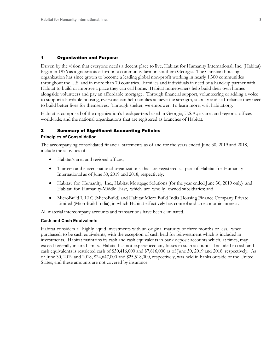# 1 Organization and Purpose

Driven by the vision that everyone needs a decent place to live, Habitat for Humanity International, Inc. (Habitat) began in 1976 as a grassroots effort on a community farm in southern Georgia. The Christian housing organization has since grown to become a leading global non-profit working in nearly 1,300 communities throughout the U.S. and in more than 70 countries. Families and individuals in need of a hand-up partner with Habitat to build or improve a place they can call home. Habitat homeowners help build their own homes alongside volunteers and pay an affordable mortgage. Through financial support, volunteering or adding a voice to support affordable housing, everyone can help families achieve the strength, stability and self-reliance they need to build better lives for themselves. Through shelter, we empower. To learn more, visit habitat.org.

Habitat is comprised of the organization's headquarters based in Georgia, U.S.A.; its area and regional offices worldwide; and the national organizations that are registered as branches of Habitat.

# 2 Summary of Significant Accounting Policies

#### **Principles of Consolidation**

The accompanying consolidated financial statements as of and for the years ended June 30, 2019 and 2018, include the activities of:

- Habitat's area and regional offices;
- Thirteen and eleven national organizations that are registered as part of Habitat for Humanity International as of June 30, 2019 and 2018, respectively;
- Habitat for Humanity, Inc., Habitat Mortgage Solutions (for the year ended June 30, 2019 only) and Habitat for Humanity-Middle East, which are wholly owned subsidiaries; and
- MicroBuild I, LLC (MicroBuild) and Habitat Micro Build India Housing Finance Company Private Limited (MicroBuild India), in which Habitat effectively has control and an economic interest.

All material intercompany accounts and transactions have been eliminated.

### **Cash and Cash Equivalents**

Habitat considers all highly liquid investments with an original maturity of three months or less, when purchased, to be cash equivalents, with the exception of cash held for reinvestment which is included in investments. Habitat maintains its cash and cash equivalents in bank deposit accounts which, at times, may exceed federally insured limits. Habitat has not experienced any losses in such accounts. Included in cash and cash equivalents is restricted cash of \$30,416,000 and \$7,816,000 as of June 30, 2019 and 2018, respectively. As of June 30, 2019 and 2018, \$24,647,000 and \$25,518,000, respectively, was held in banks outside of the United States, and these amounts are not covered by insurance.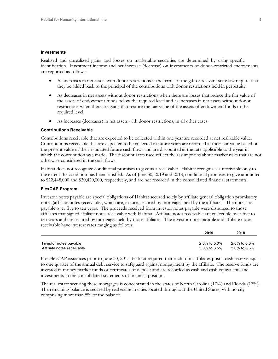#### **Investments**

Realized and unrealized gains and losses on marketable securities are determined by using specific identification. Investment income and net increase (decrease) on investments of donor-restricted endowments are reported as follows:

- As increases in net assets with donor restrictions if the terms of the gift or relevant state law require that they be added back to the principal of the contributions with donor restrictions held in perpetuity.
- As decreases in net assets without donor restrictions when there are losses that reduce the fair value of the assets of endowment funds below the required level and as increases in net assets without donor restrictions when there are gains that restore the fair value of the assets of endowment funds to the required level.
- As increases (decreases) in net assets with donor restrictions, in all other cases.

#### **Contributions Receivable**

Contributions receivable that are expected to be collected within one year are recorded at net realizable value. Contributions receivable that are expected to be collected in future years are recorded at their fair value based on the present value of their estimated future cash flows and are discounted at the rate applicable to the year in which the contribution was made. The discount rates used reflect the assumptions about market risks that are not otherwise considered in the cash flows.

Habitat does not recognize conditional promises to give as a receivable. Habitat recognizes a receivable only to the extent the condition has been satisfied. As of June 30, 2019 and 2018, conditional promises to give amounted to \$22,448,000 and \$30,420,000, respectively, and are not recorded in the consolidated financial statements.

#### **FlexCAP Program**

Investor notes payable are special obligations of Habitat secured solely by affiliate general obligation promissory notes (affiliate notes receivable), which are, in turn, secured by mortgages held by the affiliates. The notes are payable over five to ten years. The proceeds received from investor notes payable were disbursed to those affiliates that signed affiliate notes receivable with Habitat. Affiliate notes receivable are collectible over five to ten years and are secured by mortgages held by those affiliates. The investor notes payable and affiliate notes receivable have interest rates ranging as follows:

|                            | 2019            | 2018            |
|----------------------------|-----------------|-----------------|
|                            |                 |                 |
| Investor notes payable     | 2.8% to 5.0%    | 2.8% to 6.0%    |
| Affiliate notes receivable | $3.0\%$ to 6.5% | $3.0\%$ to 6.5% |

For FlexCAP issuances prior to June 30, 2015, Habitat required that each of its affiliates post a cash reserve equal to one quarter of the annual debt service to safeguard against nonpayment by the affiliate. The reserve funds are invested in money market funds or certificates of deposit and are recorded as cash and cash equivalents and investments in the consolidated statements of financial position.

The real estate securing these mortgages is concentrated in the states of North Carolina (17%) and Florida (17%). The remaining balance is secured by real estate in cities located throughout the United States, with no city comprising more than 5% of the balance.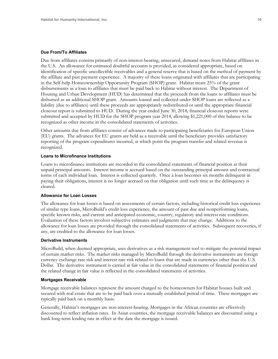#### **Due From/To Affiliates**

Due from affiliates consists primarily of non-interest-bearing, unsecured, demand notes from Habitat affiliates in the U.S. An allowance for estimated doubtful accounts is provided, as considered appropriate, based on identification of specific uncollectible receivables and a general reserve that is based on the method of payment by the affiliate and past payment experience. A majority of these loans originated with affiliates that are participating in the Self-help Homeownership Opportunity Program (SHOP) grant. Habitat treats 25% of the grant disbursements as a loan to affiliates that must be paid back to Habitat without interest. The Department of Housing and Urban Development (HUD) has determined that the proceeds from the loans to affiliates must be disbursed as an additional SHOP grant. Amounts loaned and collected under SHOP loans are reflected as a liability (due to affiliates) until these proceeds are appropriately redistributed or until the appropriate financial closeout report is submitted to HUD. During the year ended June 30, 2018, financial closeout reports were submitted and accepted by HUD for the SHOP program year 2014, allowing \$1,221,000 of this balance to be recognized as other income in the consolidated statements of activities.

Other amounts due from affiliates consist of advances made to participating beneficiaries for European Union (EU) grants. The advances for EU grants are held as a receivable until the beneficiary provides satisfactory reporting of the program expenditures incurred, at which point the program transfer and related revenue is recognized.

# **Loans to Microfinance Institutions**

Loans to microfinance institutions are recorded in the consolidated statements of financial position at their unpaid principal amounts. Interest income is accrued based on the outstanding principal amount and contractual terms of each individual loan. Interest is collected quarterly. Once a loan becomes six months delinquent in paying their obligations, interest is no longer accrued on that obligation until such time as the delinquency is cleared.

# **Allowance for Loan Losses**

The allowance for loan losses is based on assessments of certain factors, including historical credit loss experience of similar type loans, MicroBuild's credit loss experience, the amount of past due and nonperforming loans, specific known risks, and current and anticipated economic, country, regulatory and interest rate conditions. Evaluation of these factors involves subjective estimates and judgments that may change. Additions to the allowance for loan losses are provided through the consolidated statements of activities. Subsequent recoveries, if any, are credited to the allowance for loan losses.

### **Derivative Instruments**

MicroBuild, when deemed appropriate, uses derivatives as a risk management tool to mitigate the potential impact of certain market risks. The market risks managed by MicroBuild through the derivative instruments are foreign currency exchange rate risk and interest rate risk related to loans that are made in currencies other than the U.S. Dollar. The derivative instrument is carried at fair value in the consolidated statements of financial position and the related change in fair value is reflected in the consolidated statements of activities.

### **Mortgages Receivable**

Mortgage receivable balances represent the amount charged to the homeowners for Habitat houses built and secured with real estate that are to be paid back over a mutually established period of time. These mortgages are typically paid back on a monthly basis.

Generally, Habitat's mortgages are non-interest-bearing. Mortgages in the African countries are effectively discounted to reflect inflation rates. In Asian countries, the mortgage receivable balances are discounted using a bank long-term lending rate in effect at the date the mortgage is issued.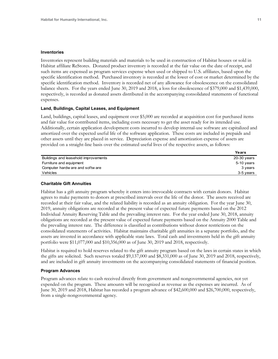#### **Inventories**

Inventories represent building materials and materials to be used in construction of Habitat houses or sold in Habitat affiliate ReStores. Donated product inventory is recorded at the fair value on the date of receipt, and such items are expensed as program services expense when used or shipped to U.S. affiliates, based upon the specific identification method. Purchased inventory is recorded at the lower of cost or market determined by the specific identification method. Inventory is recorded net of any allowance for obsolescence on the consolidated balance sheets. For the years ended June 30, 2019 and 2018, a loss for obsolescence of \$379,000 and \$1,439,000, respectively, is recorded as donated assets distributed in the accompanying consolidated statements of functional expenses.

#### **Land, Buildings, Capital Leases, and Equipment**

Land, buildings, capital leases, and equipment over \$5,000 are recorded at acquisition cost for purchased items and fair value for contributed items, including costs necessary to get the asset ready for its intended use. Additionally, certain application development costs incurred to develop internal-use software are capitalized and amortized over the expected useful life of the software application. These costs are included in prepaids and other assets until they are placed in service. Depreciation expense and amortization expense of assets are provided on a straight-line basis over the estimated useful lives of the respective assets, as follows:

|                                      | Years         |
|--------------------------------------|---------------|
| Buildings and leasehold improvements | $20-30$ years |
| Furniture and equipment              | 5-10 years    |
| Computer hardw are and softw are     | 3 years       |
| Vehicles                             | 3-5 years     |

# **Charitable Gift Annuities**

Habitat has a gift annuity program whereby it enters into irrevocable contracts with certain donors. Habitat agrees to make payments to donors at prescribed intervals over the life of the donor. The assets received are recorded at their fair value, and the related liability is recorded as an annuity obligation. For the year June 30, 2019, annuity obligations are recorded at the present value of expected future payments based on the 2012 Individual Annuity Reserving Table and the prevailing interest rate. For the year ended June 30, 2018, annuity obligations are recorded at the present value of expected future payments based on the Annuity 2000 Table and the prevailing interest rate. The difference is classified as contributions without donor restrictions on the consolidated statements of activities. Habitat maintains charitable gift annuities in a separate portfolio, and the assets are invested in accordance with applicable state laws. Total cash and investments held in the gift annuity portfolio were \$11,077,000 and \$10,356,000 as of June 30, 2019 and 2018, respectively.

Habitat is required to hold reserves related to the gift annuity program based on the laws in certain states in which the gifts are solicited. Such reserves totaled \$9,137,000 and \$8,331,000 as of June 30, 2019 and 2018, respectively, and are included in gift annuity investments on the accompanying consolidated statements of financial position.

# **Program Advances**

Program advances relate to cash received directly from government and nongovernmental agencies, not yet expended on the program. These amounts will be recognized as revenue as the expenses are incurred. As of June 30, 2019 and 2018, Habitat has recorded a program advance of \$42,600,000 and \$26,700,000, respectively, from a single-nongovernmental agency.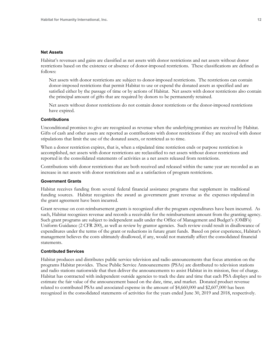#### **Net Assets**

Habitat's revenues and gains are classified as net assets with donor restrictions and net assets without donor restrictions based on the existence or absence of donor-imposed restrictions. These classifications are defined as follows:

Net assets with donor restrictions are subject to donor-imposed restrictions. The restrictions can contain donor-imposed restrictions that permit Habitat to use or expend the donated assets as specified and are satisfied either by the passage of time or by actions of Habitat. Net assets with donor restrictions also contain the principal amount of gifts that are required by donors to be permanently retained.

Net assets without donor restrictions do not contain donor restrictions or the donor-imposed restrictions have expired.

#### **Contributions**

Unconditional promises to give are recognized as revenue when the underlying promises are received by Habitat. Gifts of cash and other assets are reported as contributions with donor restrictions if they are received with donor stipulations that limit the use of the donated assets, or restricted as to time.

When a donor restriction expires, that is, when a stipulated time restriction ends or purpose restriction is accomplished, net assets with donor restrictions are reclassified to net assets without donor restrictions and reported in the consolidated statements of activities as a net assets released from restrictions.

Contributions with donor restrictions that are both received and released within the same year are recorded as an increase in net assets with donor restrictions and as a satisfaction of program restrictions.

#### **Government Grants**

Habitat receives funding from several federal financial assistance programs that supplement its traditional funding sources. Habitat recognizes the award as government grant revenue as the expenses stipulated in the grant agreement have been incurred.

Grant revenue on cost-reimbursement grants is recognized after the program expenditures have been incurred. As such, Habitat recognizes revenue and records a receivable for the reimbursement amount from the granting agency. Such grant programs are subject to independent audit under the Office of Management and Budget's (OMB's) Uniform Guidance (2 CFR 200), as well as review by grantor agencies. Such review could result in disallowance of expenditures under the terms of the grant or reductions in future grant funds. Based on prior experience, Habitat's management believes the costs ultimately disallowed, if any, would not materially affect the consolidated financial statements.

#### **Contributed Services**

Habitat produces and distributes public service television and radio announcements that focus attention on the programs Habitat provides. These Public Service Announcements (PSAs) are distributed to television stations and radio stations nationwide that then deliver the announcements to assist Habitat in its mission, free of charge. Habitat has contracted with independent outside agencies to track the date and time that each PSA displays and to estimate the fair value of the announcement based on the date, time, and market. Donated product revenue related to contributed PSAs and associated expense in the amount of \$4,660,000 and \$2,607,000 has been recognized in the consolidated statements of activities for the years ended June 30, 2019 and 2018, respectively.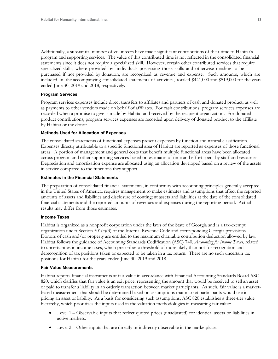Additionally, a substantial number of volunteers have made significant contributions of their time to Habitat's program and supporting services. The value of this contributed time is not reflected in the consolidated financial statements since it does not require a specialized skill. However, certain other contributed services that require specialized skills, where provided by individuals possessing those skills and otherwise needing to be purchased if not provided by donation, are recognized as revenue and expense. Such amounts, which are included in the accompanying consolidated statements of activities, totaled \$441,000 and \$519,000 for the years ended June 30, 2019 and 2018, respectively.

# **Program Services**

Program services expenses include direct transfers to affiliates and partners of cash and donated product, as well as payments to other vendors made on behalf of affiliates. For cash contributions, program services expenses are recorded when a promise to give is made by Habitat and received by the recipient organization. For donated product contributions, program services expenses are recorded upon delivery of donated product to the affiliate by Habitat or the donor.

# **Methods Used for Allocation of Expenses**

The consolidated statements of functional expenses present expenses by function and natural classification. Expenses directly attributable to a specific functional area of Habitat are reported as expenses of those functional areas. A portion of management and general costs that benefit multiple functional areas have been allocated across program and other supporting services based on estimates of time and effort spent by staff and resources. Depreciation and amortization expense are allocated using an allocation developed based on a review of the assets in service compared to the functions they support.

# **Estimates in the Financial Statements**

The preparation of consolidated financial statements, in conformity with accounting principles generally accepted in the United States of America, requires management to make estimates and assumptions that affect the reported amounts of assets and liabilities and disclosure of contingent assets and liabilities at the date of the consolidated financial statements and the reported amounts of revenues and expenses during the reporting period. Actual results may differ from those estimates.

### **Income Taxes**

Habitat is organized as a nonprofit corporation under the laws of the State of Georgia and is a tax-exempt organization under Section 501(c)(3) of the Internal Revenue Code and corresponding Georgia provisions. Donors of cash and/or property are entitled to the maximum charitable contribution deduction allowed by law. Habitat follows the guidance of Accounting Standards Codification (ASC) 740, *Accounting for Income Taxes*, related to uncertainties in income taxes, which prescribes a threshold of more likely than not for recognition and derecognition of tax positions taken or expected to be taken in a tax return. There are no such uncertain tax positions for Habitat for the years ended June 30, 2019 and 2018.

### **Fair Value Measurements**

Habitat reports financial instruments at fair value in accordance with Financial Accounting Standards Board ASC 820, which clarifies that fair value is an exit price, representing the amount that would be received to sell an asset or paid to transfer a liability in an orderly transaction between market participants. As such, fair value is a marketbased measurement that should be determined based on assumptions that market participants would use in pricing an asset or liability. As a basis for considering such assumptions, ASC 820 establishes a three-tier value hierarchy, which prioritizes the inputs used in the valuation methodologies in measuring fair value:

- Level 1 Observable inputs that reflect quoted prices (unadjusted) for identical assets or liabilities in active markets.
- Level 2 Other inputs that are directly or indirectly observable in the marketplace.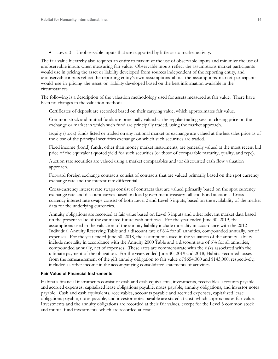• Level 3 – Unobservable inputs that are supported by little or no market activity.

The fair value hierarchy also requires an entity to maximize the use of observable inputs and minimize the use of unobservable inputs when measuring fair value. Observable inputs reflect the assumptions market participants would use in pricing the asset or liability developed from sources independent of the reporting entity, and unobservable inputs reflect the reporting entity's own assumptions about the assumptions market participants would use in pricing the asset or liability developed based on the best information available in the circumstances.

The following is a description of the valuation methodology used for assets measured at fair value. There have been no changes in the valuation methods.

Certificates of deposit are recorded based on their carrying value, which approximates fair value.

Common stock and mutual funds are principally valued at the regular trading session closing price on the exchange or market in which such fund are principally traded, using the market approach.

Equity (stock) funds listed or traded on any national market or exchange are valued at the last sales price as of the close of the principal securities exchange on which such securities are traded.

Fixed income (bond) funds, other than money market instruments, are generally valued at the most recent bid price of the equivalent quoted yield for such securities (or those of comparable maturity, quality, and type).

Auction rate securities are valued using a market comparables and/or discounted cash flow valuation approach.

Forward foreign exchange contracts consist of contracts that are valued primarily based on the spot currency exchange rate and the interest rate differential.

Cross-currency interest rate swaps consist of contracts that are valued primarily based on the spot currency exchange rate and discount curves based on local government treasury bill and bond auctions. Crosscurrency interest rate swaps consist of both Level 2 and Level 3 inputs, based on the availability of the market data for the underlying currencies.

Annuity obligations are recorded at fair value based on Level 3 inputs and other relevant market data based on the present value of the estimated future cash outflows. For the year ended June 30, 2019, the assumptions used in the valuation of the annuity liability include mortality in accordance with the 2012 Individual Annuity Reserving Table and a discount rate of 6% for all annuities, compounded annually, net of expenses. For the year ended June 30, 2018, the assumptions used in the valuation of the annuity liability include mortality in accordance with the Annuity 2000 Table and a discount rate of 6% for all annuities, compounded annually, net of expenses. These rates are commensurate with the risks associated with the ultimate payment of the obligation. For the years ended June 30, 2019 and 2018, Habitat recorded losses from the remeasurement of the gift annuity obligation to fair value of \$654,000 and \$143,000, respectively, included as other income in the accompanying consolidated statements of activities.

# **Fair Value of Financial Instruments**

Habitat's financial instruments consist of cash and cash equivalents, investments, receivables, accounts payable and accrued expenses, capitalized lease obligations payable, notes payable, annuity obligations, and investor notes payable. Cash and cash equivalents, receivables, accounts payable and accrued expenses, capitalized lease obligations payable, notes payable, and investor notes payable are stated at cost, which approximates fair value. Investments and the annuity obligations are recorded at their fair values, except for the Level 3 common stock and mutual fund investments, which are recorded at cost.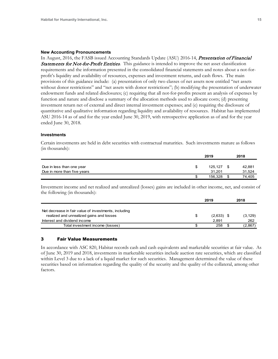#### **New Accounting Pronouncements**

In August, 2016, the FASB issued Accounting Standards Update (ASU) 2016-14, Presentation of Financial **Statements for Not-for-Profit Entities.** This guidance is intended to improve the net asset classification requirements and the information presented in the consolidated financial statements and notes about a not-forprofit's liquidity and availability of resources, expenses and investment returns, and cash flows. The main provisions of this guidance include: (a) presentation of only two classes of net assets now entitled "net assets without donor restrictions" and "net assets with donor restrictions"; (b) modifying the presentation of underwater endowment funds and related disclosures; (c) requiring that all not-for-profits present an analysis of expenses by function and nature and disclose a summary of the allocation methods used to allocate costs; (d) presenting investment return net of external and direct internal investment expenses; and (e) requiring the disclosure of quantitative and qualitative information regarding liquidity and availability of resources. Habitat has implemented ASU 2016-14 as of and for the year ended June 30, 2019, with retrospective application as of and for the year ended June 30, 2018.

#### **Investments**

Certain investments are held in debt securities with contractual maturities. Such investments mature as follows (in thousands):

|                             |   | 2019    | 2018   |
|-----------------------------|---|---------|--------|
|                             |   |         |        |
| Due in less than one year   | S | 125.127 | 42,881 |
| Due in more than five years |   | 31.201  | 31,524 |
|                             |   | 156.328 | 74,405 |

Investment income and net realized and unrealized (losses) gains are included in other income, net, and consist of the following (in thousands):

|                                                      | 2019               | 2018     |
|------------------------------------------------------|--------------------|----------|
| Net decrease in fair value of investments, including |                    |          |
| realized and unrealized gains and losses             | \$<br>$(2,633)$ \$ | (3, 129) |
| Interest and dividend income                         | 2.891              | 262      |
| Total investment income (losses)                     | 258                | (2,867)  |

# 3 Fair Value Measurements

In accordance with ASC 820, Habitat records cash and cash equivalents and marketable securities at fair value. As of June 30, 2019 and 2018, investments in marketable securities include auction rate securities, which are classified within Level 3 due to a lack of a liquid market for such securities. Management determined the value of these securities based on information regarding the quality of the security and the quality of the collateral, among other factors.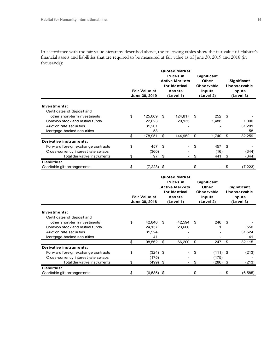In accordance with the fair value hierarchy described above, the following tables show the fair value of Habitat's financial assets and liabilities that are required to be measured at fair value as of June 30, 2019 and 2018 (in thousands):

|                                     | <b>Fair Value at</b><br>June 30, 2019 | <b>Quoted Market</b><br>Prices in<br><b>Active Markets</b><br>for Identical<br><b>Assets</b><br>(Level 1) |         |    | <b>Significant</b><br><b>Other</b><br><b>Observable</b><br><b>Inputs</b><br>(Level 2) | <b>Significant</b><br>Unobservable<br><b>Inputs</b><br>(Level 3) |         |  |
|-------------------------------------|---------------------------------------|-----------------------------------------------------------------------------------------------------------|---------|----|---------------------------------------------------------------------------------------|------------------------------------------------------------------|---------|--|
| Investments:                        |                                       |                                                                                                           |         |    |                                                                                       |                                                                  |         |  |
| Certificates of deposit and         |                                       |                                                                                                           |         |    |                                                                                       |                                                                  |         |  |
| other short-term investments        | \$<br>125,069                         | \$                                                                                                        | 124,817 | \$ | 252                                                                                   | \$                                                               |         |  |
| Common stock and mutual funds       | 22,623                                |                                                                                                           | 20,135  |    | 1,488                                                                                 |                                                                  | 1,000   |  |
| Auction rate securities             | 31,201                                |                                                                                                           |         |    |                                                                                       |                                                                  | 31,201  |  |
| Mortgage-backed securities          | 58                                    |                                                                                                           |         |    |                                                                                       |                                                                  | 58      |  |
|                                     | \$<br>178,951                         | \$                                                                                                        | 144,952 | \$ | 1,740                                                                                 | \$                                                               | 32,259  |  |
| Derivative instruments:             |                                       |                                                                                                           |         |    |                                                                                       |                                                                  |         |  |
| Forw ard foreign exchange contracts | \$<br>457                             | \$                                                                                                        |         | \$ | 457                                                                                   | \$                                                               |         |  |
| Cross-currency interest rate sw aps | (360)                                 |                                                                                                           |         |    | (16)                                                                                  |                                                                  | (344)   |  |
| Total derivative instruments        | \$<br>97                              | \$                                                                                                        |         | \$ | 441                                                                                   | \$                                                               | (344)   |  |
| Liabilities:                        |                                       |                                                                                                           |         |    |                                                                                       |                                                                  |         |  |
| Charitable gift arrangements        | \$<br>(7,223)                         | \$                                                                                                        |         | \$ |                                                                                       | \$                                                               | (7,223) |  |

|                                     | <b>Fair Value at</b><br>June 30, 2018 | <b>Quoted Market</b><br>Prices in<br><b>Active Markets</b><br>for Identical<br><b>Assets</b><br>(Level 1) |        |      | <b>Significant</b><br><b>Other</b><br><b>Observable</b><br><b>Inputs</b><br>(Level 2) | <b>Significant</b><br>Unobservable<br><b>Inputs</b><br>(Level 3) |          |  |
|-------------------------------------|---------------------------------------|-----------------------------------------------------------------------------------------------------------|--------|------|---------------------------------------------------------------------------------------|------------------------------------------------------------------|----------|--|
| Investments:                        |                                       |                                                                                                           |        |      |                                                                                       |                                                                  |          |  |
| Certificates of deposit and         |                                       |                                                                                                           |        |      |                                                                                       |                                                                  |          |  |
| other short-term investments        | \$<br>42,840                          | -\$                                                                                                       | 42,594 | - \$ | 246                                                                                   | - \$                                                             |          |  |
| Common stock and mutual funds       | 24,157                                |                                                                                                           | 23,606 |      |                                                                                       |                                                                  | 550      |  |
| Auction rate securities             | 31,524                                |                                                                                                           |        |      |                                                                                       |                                                                  | 31,524   |  |
| Mortgage-backed securities          | 41                                    |                                                                                                           |        |      |                                                                                       |                                                                  | 41       |  |
|                                     | \$<br>98,562                          | \$                                                                                                        | 66,200 | \$   | 247                                                                                   | \$                                                               | 32,115   |  |
| Derivative instruments:             |                                       |                                                                                                           |        |      |                                                                                       |                                                                  |          |  |
| Forw ard foreign exchange contracts | \$<br>(324) \$                        |                                                                                                           |        | -\$  | $(111)$ \$                                                                            |                                                                  | (213)    |  |
| Cross-currency interest rate sw aps | (175)                                 |                                                                                                           |        |      | (175)                                                                                 |                                                                  |          |  |
| Total derivative instruments        | \$<br>(499) \$                        |                                                                                                           |        | \$   | $(286)$ \$                                                                            |                                                                  | (213)    |  |
| Liabilities:                        |                                       |                                                                                                           |        |      |                                                                                       |                                                                  |          |  |
| Charitable gift arrangements        | \$<br>(6, 585)                        | -\$                                                                                                       |        | S    |                                                                                       |                                                                  | (6, 585) |  |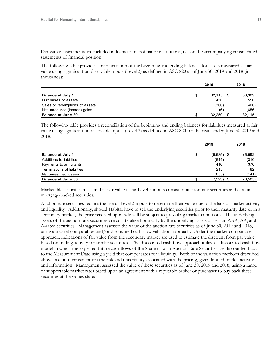Derivative instruments are included in loans to microfinance institutions, net on the accompanying consolidated statements of financial position.

The following table provides a reconciliation of the beginning and ending balances for assets measured at fair value using significant unobservable inputs (Level 3) as defined in ASC 820 as of June 30, 2019 and 2018 (in thousands):

|                                | 2019         |      | 2018   |
|--------------------------------|--------------|------|--------|
| <b>Balance at July 1</b>       | \$<br>32.115 | - \$ | 30,309 |
|                                |              |      |        |
| Purchases of assets            | 450          |      | 550    |
| Sales or redemptions of assets | (300)        |      | (400)  |
| Net unrealized (losses) gains  | (6)          |      | 1,656  |
| <b>Balance at June 30</b>      | 32.259       |      | 32,115 |

The following table provides a reconciliation of the beginning and ending balances for liabilities measured at fair value using significant unobservable inputs (Level 3) as defined in ASC 820 for the years ended June 30 2019 and 2018:

|                             | 2019               | 2018     |  |
|-----------------------------|--------------------|----------|--|
|                             |                    |          |  |
| <b>Balance at July 1</b>    | \$<br>$(6,585)$ \$ | (6, 592) |  |
| Additions to liabilities    | (614)              | (310)    |  |
| Payments to annuitants      | 416                | 376      |  |
| Terminations of liabilities | 215                | -82      |  |
| Net unrealized losses       | (655)              | (141)    |  |
| <b>Balance at June 30</b>   | (7,223)            | (6, 585) |  |

Marketable securities measured at fair value using Level 3 inputs consist of auction rate securities and certain mortgage-backed securities.

Auction rate securities require the use of Level 3 inputs to determine their value due to the lack of market activity and liquidity. Additionally, should Habitat have to sell the underlying securities prior to their maturity date or in a secondary market, the price received upon sale will be subject to prevailing market conditions. The underlying assets of the auction rate securities are collateralized primarily by the underlying assets of certain AAA, AA, and A-rated securities. Management assessed the value of the auction rate securities as of June 30, 2019 and 2018, using a market comparables and/or discounted cash flow valuation approach. Under the market comparables approach, indications of fair value from the secondary market are used to estimate the discount from par value based on trading activity for similar securities. The discounted cash flow approach utilizes a discounted cash flow model in which the expected future cash flows of the Student Loan Auction Rate Securities are discounted back to the Measurement Date using a yield that compensates for illiquidity. Both of the valuation methods described above take into consideration the risk and uncertainty associated with the pricing, given limited market activity and information. Management assessed the value of these securities as of June 30, 2019 and 2018, using a range of supportable market rates based upon an agreement with a reputable broker or purchaser to buy back these securities at the values stated.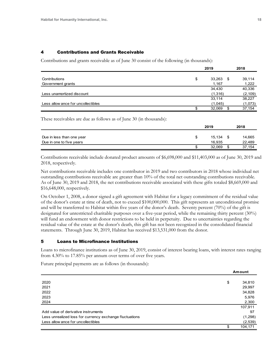# 4 Contributions and Grants Receivable

Contributions and grants receivable as of June 30 consist of the following (in thousands):

|                                    | 2019               | 2018     |
|------------------------------------|--------------------|----------|
| Contributions                      | \$<br>33,263<br>\$ | 39,114   |
| Government grants                  | 1,167              | 1,222    |
|                                    | 34,430             | 40,336   |
| Less unamortized discount          | (1,316)            | (2, 109) |
|                                    | 33,114             | 38,227   |
| Less allow ance for uncollectibles | (1,045)            | (1,073)  |
|                                    | \$<br>32,069<br>\$ | 37,154   |

These receivables are due as follows as of June 30 (in thousands):

|                           | 2019   | 2018 |        |
|---------------------------|--------|------|--------|
| Due in less than one year | 15.134 | S    | 14,665 |
| Due in one to five years  | 16.935 |      | 22,489 |
|                           | 32.069 |      | 37,154 |

Contributions receivable include donated product amounts of \$6,698,000 and \$11,403,000 as of June 30, 2019 and 2018, respectively.

Net contributions receivable includes one contributor in 2019 and two contributors in 2018 whose individual net outstanding contributions receivable are greater than 10% of the total net outstanding contributions receivable. As of June 30, 2019 and 2018, the net contributions receivable associated with these gifts totaled \$8,669,000 and \$16,648,000, respectively.

On October 1, 2008, a donor signed a gift agreement with Habitat for a legacy commitment of the residual value of the donor's estate at time of death, not to exceed \$100,000,000. This gift represents an unconditional promise and will be transferred to Habitat within five years of the donor's death. Seventy percent (70%) of the gift is designated for unrestricted charitable purposes over a five-year period, while the remaining thirty percent (30%) will fund an endowment with donor restrictions to be held in perpetuity. Due to uncertainties regarding the residual value of the estate at the donor's death, this gift has not been recognized in the consolidated financial statements. Through June 30, 2019, Habitat has received \$13,531,000 from the donor.

# 5 Loans to Microfinance Institutions

Loans to microfinance institutions as of June 30, 2019, consist of interest bearing loans, with interest rates ranging from 4.30% to 17.85% per annum over terms of over five years.

Future principal payments are as follows (in thousands):

|                                                         | Amount       |
|---------------------------------------------------------|--------------|
|                                                         |              |
| 2020                                                    | \$<br>34,810 |
| 2021                                                    | 29,997       |
| 2022                                                    | 34,828       |
| 2023                                                    | 5,976        |
| 2024                                                    | 2,300        |
|                                                         | 107,911      |
| Add value of derivative instruments                     | 97           |
| Less unrealized loss for currency exchange fluctuations | (1, 298)     |
| Less allow ance for uncollectibles                      | (2,539)      |
|                                                         | 104,171      |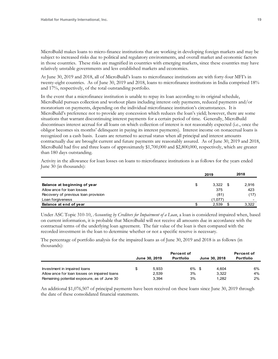MicroBuild makes loans to micro-finance institutions that are working in developing foreign markets and may be subject to increased risks due to political and regulatory environments, and overall market and economic factors in those countries. These risks are magnified in countries with emerging markets, since these countries may have relatively unstable governments and less established markets and economies.

At June 30, 2019 and 2018, all of MicroBuild's loans to microfinance institutions are with forty-four MFI's in twenty-eight countries. As of June 30, 2019 and 2018, loans to microfinance institutions in India comprised 18% and 17%, respectively, of the total outstanding portfolio.

In the event that a microfinance institution is unable to repay its loan according to its original schedule, MicroBuild pursues collection and workout plans including interest only payments, reduced payments and/or moratorium on payments, depending on the individual microfinance institution's circumstances. It is MicroBuild's preference not to provide any concession which reduces the loan's yield; however, there are some situations that warrant discontinuing interest payments for a certain period of time. Generally, MicroBuild discontinues interest accrual for all loans on which collection of interest is not reasonably expected (i.e., once the obligor becomes six months' delinquent in paying its interest payments). Interest income on nonaccrual loans is recognized on a cash basis. Loans are returned to accrual status when all principal and interest amounts contractually due are brought current and future payments are reasonably assured. As of June 30, 2019 and 2018, MicroBuild had five and three loans of approximately \$1,700,000 and \$2,800,000, respectively, which are greater than 180 days outstanding.

Activity in the allowance for loan losses on loans to microfinance institutions is as follows for the years ended June 30 (in thousands):

|                                     |   | 2019    |  | 2018  |  |
|-------------------------------------|---|---------|--|-------|--|
|                                     |   |         |  |       |  |
| Balance at beginning of year        | S | 3,322   |  | 2,916 |  |
| Allow ance for loan losses          |   | 375     |  | 423   |  |
| Recovery of previous loan provision |   | (81)    |  | (17)  |  |
| Loan forgiveness                    |   | (1,077) |  |       |  |
| Balance at end of year              |   | 2,539   |  | 3,322 |  |

Under ASC Topic 310-10, *Accounting by Creditors for Impairment of a Loan*, a loan is considered impaired when, based on current information, it is probable that MicroBuild will not receive all amounts due in accordance with the contractual terms of the underlying loan agreement. The fair value of the loan is then compared with the recorded investment in the loan to determine whether or not a specific reserve is necessary.

The percentage of portfolio analysis for the impaired loans as of June 30, 2019 and 2018 is as follows (in thousands):

|                                              | Percent of |               |                  | Percent of    |                  |
|----------------------------------------------|------------|---------------|------------------|---------------|------------------|
|                                              |            | June 30, 2019 | <b>Portfolio</b> | June 30, 2018 | <b>Portfolio</b> |
|                                              |            |               |                  |               |                  |
| Investment in impaired loans                 | S          | 5.933         | 6% \$            | 4.604         | 6%               |
| Allow ance for loan losses on impaired loans |            | 2,539         | 3%               | 3.322         | 4%               |
| Remaining potential exposure, as of June 30  |            | 3.394         | 3%               | 1.282         | 2%               |

An additional \$1,076,507 of principal payments have been received on these loans since June 30, 2019 through the date of these consolidated financial statements.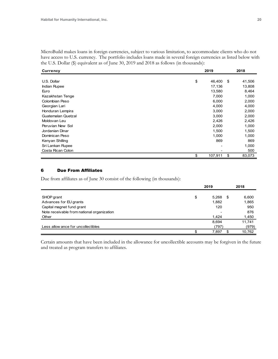MicroBuild makes loans in foreign currencies, subject to various limitation, to accommodate clients who do not have access to U.S. currency. The portfolio includes loans made in several foreign currencies as listed below with the U.S. Dollar (\$) equivalent as of June 30, 2019 and 2018 as follows (in thousands):

| Currency            |    | 2019                     | 2018         |  |
|---------------------|----|--------------------------|--------------|--|
|                     |    |                          |              |  |
| U.S. Dollar         | \$ | 46,400                   | \$<br>41,506 |  |
| <b>Indian Rupee</b> |    | 17,136                   | 13,808       |  |
| Euro                |    | 13,580                   | 8,464        |  |
| Kazakhstan Tenge    |    | 7,000                    | 1,000        |  |
| Colombian Peso      |    | 6,000                    | 2,000        |  |
| Georgian Lari       |    | 4,000                    | 4,000        |  |
| Honduran Lempira    |    | 3,000                    | 2,000        |  |
| Guatemalan Quetzal  |    | 3,000                    | 2,000        |  |
| Moldovan Leu        |    | 2,426                    | 2,426        |  |
| Peruvian New Sol    |    | 2,000                    | 1,000        |  |
| Jordanian Dinar     |    | 1,500                    | 1,500        |  |
| Dominican Peso      |    | 1,000                    | 1,000        |  |
| Kenyan Shilling     |    | 869                      | 869          |  |
| Sri Lankan Rupee    |    | $\overline{\phantom{0}}$ | 1,000        |  |
| Costa Rican Colon   |    |                          | 500          |  |
|                     | \$ | 107,911                  | \$<br>83,073 |  |

# 6 Due From Affiliates

Due from affiliates as of June 30 consist of the following (in thousands):

|                                            | 2019              | 2018   |
|--------------------------------------------|-------------------|--------|
| SHOP grant                                 | \$<br>5,268<br>\$ | 6,600  |
|                                            |                   |        |
| Advances for EU grants                     | 1,882             | 1,865  |
| Capital magnet fund grant                  | 120               | 950    |
| Note receivable from national organization |                   | 876    |
| Other                                      | 1.424             | 1,450  |
|                                            | 8,694             | 11,741 |
| Less allow ance for uncollectibles         | (797)             | (979)  |
|                                            | 7,897<br>£.       | 10,762 |

Certain amounts that have been included in the allowance for uncollectible accounts may be forgiven in the future and treated as program transfers to affiliates.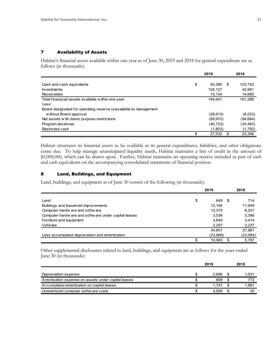# 7 Availability of Assets

Habitat's financial assets available within one year as of June 30, 2019 and 2018 for general expenditure are as follows (in thousands):

|                                                                  |    | 2019          | 2018      |  |
|------------------------------------------------------------------|----|---------------|-----------|--|
| Cash and cash equivalents                                        | \$ | 54.380<br>\$  | 103,742   |  |
| <b>Investments</b>                                               |    | 125.127       | 42.881    |  |
| Receivables                                                      |    | 15,134        | 14,665    |  |
| Total finanacial assets available within one year                |    | 194.641       | 161.288   |  |
| Less:                                                            |    |               |           |  |
| Board designated for operating reserve unavailable to management |    |               |           |  |
| w ithout Board approval                                          |    | (28, 613)     | (6,023)   |  |
| Net assets with donor purpose restrictions                       |    | (89, 970)     | (94, 664) |  |
| Program advances                                                 |    | (46,723)      | (35, 463) |  |
| Restricted cash                                                  |    | (1,803)       | (1,792)   |  |
|                                                                  | \$ | 27,532<br>\$. | 23.346    |  |

Habitat structures its financial assets to be available as its general expenditures, liabilities, and other obligations come due. To help manage unanticipated liquidity needs, Habitat maintains a line of credit in the amount of \$1,000,000, which can be drawn upon. Further, Habitat maintains an operating reserve included as part of cash and cash equivalents on the accompanying consolidated statements of financial position.

# 8 Land, Buildings, and Equipment

Land, buildings, and equipment as of June 30 consist of the following (in thousands):

|                                                       | 2019 |          | 2018 |          |
|-------------------------------------------------------|------|----------|------|----------|
|                                                       |      |          |      |          |
| Land                                                  | \$   | 649      | - \$ | 714      |
| Buildings and leasehold improvements                  |      | 12.194   |      | 11,949   |
| Computer hardw are and softw are                      |      | 12.375   |      | 6,201    |
| Computer hardw are and softw are under capital leases |      | 3,536    |      | 3,366    |
| Furniture and equipment                               |      | 3,640    |      | 3,414    |
| <b>Vehicles</b>                                       |      | 2,257    |      | 2,237    |
|                                                       |      | 34,651   |      | 27,881   |
| Less accumulated depreciation and amortization        |      | (23,668) |      | (22,084) |
|                                                       | \$   | 10.983   | \$   | 5.797    |

Other supplemental disclosures related to land, buildings, and equipment are as follows for the years ended June 30 (in thousands):

|                                                     | 2019  |  | 2018  |
|-----------------------------------------------------|-------|--|-------|
|                                                     |       |  |       |
| Depreciation expense                                | 2.686 |  | 1,031 |
| Amortization expense on assets under capital leases | 808   |  | 772   |
| Accumulated amortization on capital leases          | 1.747 |  | 1.991 |
| Unamortized computer softw are costs                | 4.559 |  | 30    |
|                                                     |       |  |       |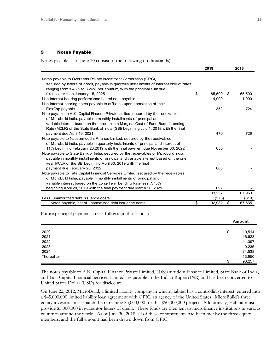# 9 Notes Payable

Notes payable as of June 30 consist of the following (in thousands):

|                                                                                                                                                               | 2019                  | 2018                  |
|---------------------------------------------------------------------------------------------------------------------------------------------------------------|-----------------------|-----------------------|
| Notes payable to Overseas Private Investment Corporation (OPIC),<br>secured by letters of credit, payable in quarterly installments of interest only at rates |                       |                       |
| ranging from 1.48% to 3.26% per anunum, with the principal sum due                                                                                            |                       |                       |
| full no later than January 15, 2025                                                                                                                           | \$<br>85,500          | \$<br>65,500          |
| Non-interest bearing performance based note payable                                                                                                           | 4,900                 | 1,000                 |
| Non-interest-bearing notes payable to affiliates upon completion of their                                                                                     |                       |                       |
| FlexCap payable                                                                                                                                               | 352                   | 724                   |
| Note payable to A.K. Capital Finance Private Limited, secured by the receivables                                                                              |                       |                       |
| of Microbuild India, payable in monthly installments of principal and                                                                                         |                       |                       |
| variable interest based on the three month Marginal Cost of Fund Based Lending                                                                                |                       |                       |
| Rate (MCLR) of the State Bank of India (SBI) beginning July 1, 2018 with the final                                                                            |                       |                       |
| payment due April 16, 2021                                                                                                                                    | 470                   | 729                   |
| Note payable to Nabsamruddhi Finance Limited, secured by the receivables                                                                                      |                       |                       |
| of Microbuild India, payable in quarterly installments of principal and interest of                                                                           |                       |                       |
| 11% beginning February 28,2019 with the final payment due November 30, 2022                                                                                   | 655                   |                       |
| Note payable to State Bank of India, secured by the receivables of Microbuild India,                                                                          |                       |                       |
| payable in monthly installments of principal and variable interest based on the one                                                                           |                       |                       |
| year MCLR of the SBI beginning April 30, 2019 with the final                                                                                                  |                       |                       |
| payment due February 28, 2022                                                                                                                                 | 683                   |                       |
| Note payable to Tata Capital Financial Services Limited, secured by the receivables                                                                           |                       |                       |
| of Microbuild India, payable in monthly installments of principal and                                                                                         |                       |                       |
| variable interest based on the Long-Term Lending Rate less 7.75%                                                                                              |                       |                       |
| beginning April 20, 2019 w ith the final payment due March 20, 2021                                                                                           | 697                   |                       |
| Less: unamortized debt issuance costs                                                                                                                         | 93,257                | 67,953                |
| Notes payable, net of unamortized debt issuance costs                                                                                                         | \$<br>(275)<br>92,982 | \$<br>(318)<br>67,635 |
|                                                                                                                                                               |                       |                       |

Future principal payments are as follows (in thousands):

|            |        | Amount |
|------------|--------|--------|
|            |        |        |
| 2020       | \$     | 10,514 |
| 2021       |        | 16,623 |
| 2022       |        | 11,397 |
| 2023       |        | 9,235  |
| 2024       |        | 31,538 |
| Thereafter |        | 13,950 |
|            | œ<br>Φ | 93,257 |

The notes payable to A.K. Capital Finance Private Limited, Nabsamruddhi Finance Limited, State Bank of India, and Tata Capital Financial Services Limited are payable in the Indian Rupee (INR) and has been converted to United States Dollar (USD) for disclosure.

On June 22, 2012, MicroBuild, a limited liability company in which Habitat has a controlling interest, entered into a \$45,000,000 limited liability loan agreement with OPIC, an agency of the United States. MicroBuild's three equity investors must match the remaining \$5,000,000 for this \$50,000,000 project. Additionally, Habitat must provide \$5,000,000 in guarantor letters of credit. These funds are then lent to microfinance institutions in various countries around the world. As of June 30, 2018, all of these commitments had been met by the three equity members, and the full amount had been drawn down from OPIC.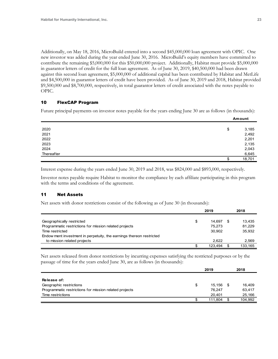Additionally, on May 18, 2016, MicroBuild entered into a second \$45,000,000 loan agreement with OPIC. One new investor was added during the year ended June 30, 2016. MicroBuild's equity members have committed to contribute the remaining \$5,000,000 for this \$50,000,000 project. Additionally, Habitat must provide \$5,000,000 in guarantor letters of credit for the full loan agreement. As of June 30, 2019, \$40,500,000 had been drawn against this second loan agreement, \$5,000,000 of additional capital has been contributed by Habitat and MetLife and \$4,500,000 in guarantor letters of credit have been provided. As of June 30, 2019 and 2018, Habitat provided \$9,500,000 and \$8,700,000, respectively, in total guarantor letters of credit associated with the notes payable to OPIC.

# 10 FlexCAP Program

Future principal payments on investor notes payable for the years ending June 30 are as follows (in thousands):

|            |         | Amount |  |
|------------|---------|--------|--|
|            |         |        |  |
| 2020       | \$      | 3,185  |  |
| 2021       |         | 2,492  |  |
| 2022       |         | 2,201  |  |
| 2023       |         | 2,135  |  |
| 2024       |         | 2,043  |  |
| Thereafter |         | 6,645  |  |
|            | c<br>۰D | 18,701 |  |

Interest expense during the years ended June 30, 2019 and 2018, was \$824,000 and \$893,000, respectively.

Investor notes payable require Habitat to monitor the compliance by each affiliate participating in this program with the terms and conditions of the agreement.

# 11 Net Assets

Net assets with donor restrictions consist of the following as of June 30 (in thousands):

|                                                                      | 2019          | 2018    |  |
|----------------------------------------------------------------------|---------------|---------|--|
|                                                                      |               |         |  |
| Geographically restricted                                            | \$<br>14.697  | 13,435  |  |
| Programmatic restrictions for mission related projects               | 75.273        | 81,229  |  |
| Time restricted                                                      | 30.902        | 35,932  |  |
| Endow ment investment in perpetuity, the earnings thereon restricted |               |         |  |
| to mission related projects                                          | 2.622         | 2,569   |  |
|                                                                      | \$<br>123.494 | 133.165 |  |

Net assets released from donor restrictions by incurring expenses satisfying the restricted purposes or by the passage of time for the years ended June 30, are as follows (in thousands):

|                                                        | 2019         |      | 2018    |  |
|--------------------------------------------------------|--------------|------|---------|--|
|                                                        |              |      |         |  |
| Release of:                                            |              |      |         |  |
| Geographic restrictions                                | \$<br>15.156 | - \$ | 16,409  |  |
| Programmatic restrictions for mission related projects | 76.247       |      | 63,417  |  |
| Time restrictions                                      | 20,401       |      | 25,166  |  |
|                                                        | 111,804      |      | 104,992 |  |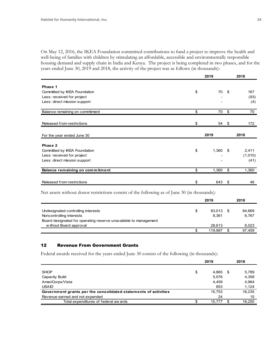On May 12, 2016, the IKEA Foundation committed contributions to fund a project to improve the health and well-being of families with children by stimulating an affordable, accessible and environmentally responsible housing demand and supply chain in India and Kenya. The project is being completed in two phases, and for the years ended June 30, 2019 and 2018, the activity of the project was as follows (in thousands):

|                                                                                                       | 2019                       |      | 2018                     |
|-------------------------------------------------------------------------------------------------------|----------------------------|------|--------------------------|
| Phase 1<br>Committed by IKEA Foundation<br>Less: received for project<br>Less: direct mission support | \$<br>70<br>$\overline{a}$ | \$   | 167<br>(93)<br>(4)       |
| Balance remaining on commitment                                                                       | \$<br>70                   | \$   | 70                       |
| Released from restrictions                                                                            | \$<br>54                   | - \$ | 172                      |
|                                                                                                       |                            |      |                          |
| For the year ended June 30                                                                            | 2019                       |      | 2018                     |
| Phase 2<br>Committed by IKEA Foundation<br>Less: received for project<br>Less: direct mission support | \$<br>1,360                | -\$  | 2,411<br>(1,010)<br>(41) |
| Balance remaining on commitment                                                                       | \$<br>1,360                | \$   | 1,360                    |

Net assets without donor restrictions consist of the following as of June 30 (in thousands):

|                                                                  |     | 2019    | 2018 |        |
|------------------------------------------------------------------|-----|---------|------|--------|
|                                                                  |     |         |      |        |
| Undesignated controlling interests                               | \$  | 83,013  |      | 84,669 |
| Noncontrolling interests                                         |     | 8.361   |      | 6,767  |
| Board designated for operating reserve unavailable to management |     |         |      |        |
| w ithout Board approval                                          |     | 28.613  |      | 6,023  |
|                                                                  | -SS | 119.987 |      | 97,459 |

# 12 Revenue From Government Grants

Federal awards received for the years ended June 30 consist of the following (in thousands):

|                                                                 | 2019 |        | 2018 |        |
|-----------------------------------------------------------------|------|--------|------|--------|
|                                                                 |      |        |      |        |
| <b>SHOP</b>                                                     | \$   | 4,865  | - \$ | 5,789  |
| Capacity Build                                                  |      | 5.576  |      | 4,358  |
| AmeriCorps/Vista                                                |      | 4,459  |      | 4,964  |
| <b>USAID</b>                                                    |      | 853    |      | 1,124  |
| Government grants per the consolidated statements of activities |      | 15.753 |      | 16,235 |
| Revenue earned and not expended                                 |      | 24     |      | 15     |
| Total expenditures of federal aw ards                           |      | 15.777 |      | 16,250 |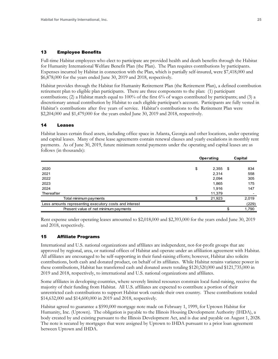# 13 Employee Benefits

Full-time Habitat employees who elect to participate are provided health and death benefits through the Habitat for Humanity International Welfare Benefit Plan (the Plan). The Plan requires contributions by participants. Expenses incurred by Habitat in connection with the Plan, which is partially self-insured, were \$7,418,000 and \$6,878,000 for the years ended June 30, 2019 and 2018, respectively.

Habitat provides through the Habitat for Humanity Retirement Plan (the Retirement Plan), a defined contribution retirement plan to eligible plan participants. There are three components to the plan: (1) participant contributions; (2) a Habitat match equal to 100% of the first 6% of wages contributed by participants; and (3) a discretionary annual contribution by Habitat to each eligible participant's account. Participants are fully vested in Habitat's contributions after five years of service. Habitat's contributions to the Retirement Plan were \$2,204,000 and \$1,479,000 for the years ended June 30, 2019 and 2018, respectively.

### 14 Leases

Habitat leases certain fixed assets, including office space in Atlanta, Georgia and other locations, under operating and capital leases. Many of these lease agreements contain renewal clauses and yearly escalations in monthly rent payments. As of June 30, 2019, future minimum rental payments under the operating and capital leases are as follows (in thousands):

|                                                        | Operating     |      | Capital |  |
|--------------------------------------------------------|---------------|------|---------|--|
| 2020                                                   | \$<br>2,355   | - \$ | 834     |  |
| 2021                                                   | 2,314         |      | 558     |  |
| 2022                                                   | 2,094         |      | 305     |  |
| 2023                                                   | 1,865         |      | 175     |  |
| 2024                                                   | 1,916         |      | 147     |  |
| Thereafter                                             | 11,379        |      |         |  |
| Total minimum payments                                 | 21,923<br>\$. |      | 2,019   |  |
| Less amounts representing executory costs and interest |               |      | (229)   |  |
| Present value of net minimum payments                  |               |      | 1,790   |  |

Rent expense under operating leases amounted to \$2,018,000 and \$2,393,000 for the years ended June 30, 2019 and 2018, respectively.

# 15 Affiliate Programs

International and U.S. national organizations and affiliates are independent, not-for-profit groups that are approved by regional, area, or national offices of Habitat and operate under an affiliation agreement with Habitat. All affiliates are encouraged to be self-supporting in their fund-raising efforts; however, Habitat also solicits contributions, both cash and donated product, on behalf of its affiliates. While Habitat retains variance power in these contributions, Habitat has transferred cash and donated assets totaling \$120,520,000 and \$121,735,000 in 2019 and 2018, respectively, to international and U.S. national organizations and affiliates.

Some affiliates in developing countries, where severely limited resources constrain local fund-raising, receive the majority of their funding from Habitat. All U.S. affiliates are expected to contribute a portion of their unrestricted cash contributions to support Habitat work outside their own country. These contributions totaled \$14,632,000 and \$14,600,000 in 2019 and 2018, respectively.

Habitat agreed to guarantee a \$590,000 mortgage note made on February 1, 1999, for Uptown Habitat for Humanity, Inc. (Uptown). The obligation is payable to the Illinois Housing Development Authority (IHDA), a body created by and existing pursuant to the Illinois Development Act, and is due and payable on August 1, 2028. The note is secured by mortgages that were assigned by Uptown to IHDA pursuant to a prior loan agreement between Uptown and IHDA.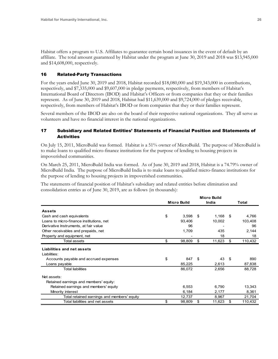Habitat offers a program to U.S. Affiliates to guarantee certain bond issuances in the event of default by an affiliate. The total amount guaranteed by Habitat under the program at June 30, 2019 and 2018 was \$13,945,000 and \$14,608,000, respectively.

# 16 Related-Party Transactions

For the years ended June 30, 2019 and 2018, Habitat recorded \$18,080,000 and \$19,343,000 in contributions, respectively, and \$7,335,000 and \$9,607,000 in pledge payments, respectively, from members of Habitat's International Board of Directors (IBOD) and Habitat's Officers or from companies that they or their families represent. As of June 30, 2019 and 2018, Habitat had \$11,639,000 and \$9,724,000 of pledges receivable, respectively, from members of Habitat's IBOD or from companies that they or their families represent.

Several members of the IBOD are also on the board of their respective national organizations. They all serve as volunteers and have no financial interest in the national organizations.

# 17 Subsidiary and Related Entities' Statements of Financial Position and Statements of **Activities**

On July 15, 2011, MicroBuild was formed. Habitat is a 51% owner of MicroBuild. The purpose of MicroBuild is to make loans to qualified micro-finance institutions for the purpose of lending to housing projects in impoverished communities.

On March 25, 2011, MicroBuild India was formed. As of June 30, 2019 and 2018, Habitat is a 74.79% owner of MicroBuild India. The purpose of MicroBuild India is to make loans to qualified micro-finance institutions for the purpose of lending to housing projects in impoverished communities.

The statements of financial position of Habitat's subsidiary and related entities before elimination and consolidation entries as of June 30, 2019, are as follows (in thousands):

|                                             | <b>Micro Build</b> |                    |      |        |      |         |
|---------------------------------------------|--------------------|--------------------|------|--------|------|---------|
|                                             |                    | <b>Micro Build</b> |      | India  |      | Total   |
| <b>Assets</b>                               |                    |                    |      |        |      |         |
| Cash and cash equivalents                   | \$                 | 3,598              | - \$ | 1,168  | -\$  | 4,766   |
| Loans to micro-finance institutions, net    |                    | 93,406             |      | 10,002 |      | 103,408 |
| Derivative Instruments, at fair value       |                    | 96                 |      |        |      | 96      |
| Other receivables and prepaids, net         |                    | 1,709              |      | 435    |      | 2,144   |
| Property and equipment, net                 |                    |                    |      | 18     |      | 18      |
| Total assets                                | \$                 | 98,809             | \$   | 11,623 | \$   | 110,432 |
| <b>Liabilities and net assets</b>           |                    |                    |      |        |      |         |
| Liabilities:                                |                    |                    |      |        |      |         |
| Accounts payable and accrued expenses       | \$                 | 847                | \$   | 43     | - \$ | 890     |
| Loans payable                               |                    | 85,225             |      | 2,613  |      | 87,838  |
| <b>Total liabilities</b>                    |                    | 86,072             |      | 2,656  |      | 88,728  |
| Net assets:                                 |                    |                    |      |        |      |         |
| Retained earnings and members' equity:      |                    |                    |      |        |      |         |
| Retained earnings and members' equity       |                    | 6,553              |      | 6,790  |      | 13,343  |
| Minority interest                           |                    | 6,184              |      | 2,177  |      | 8,361   |
| Total retained earnings and members' equity |                    | 12,737             |      | 8,967  |      | 21,704  |
| Total liabilities and net assets            | \$                 | 98,809             | \$   | 11,623 | \$   | 110,432 |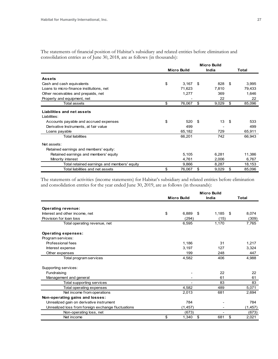| ۰, |  |
|----|--|
|    |  |

|                                             | <b>Micro Build</b> |        | <b>Micro Build</b><br>India |       | Total |        |
|---------------------------------------------|--------------------|--------|-----------------------------|-------|-------|--------|
|                                             |                    |        |                             |       |       |        |
| <b>Assets</b>                               |                    |        |                             |       |       |        |
| Cash and cash equivalents                   | \$                 | 3,167  | \$                          | 828   | \$    | 3,995  |
| Loans to micro-finance institutions, net    |                    | 71,623 |                             | 7,810 |       | 79,433 |
| Other receivables and prepaids, net         |                    | 1,277  |                             | 369   |       | 1,646  |
| Property and equipment, net                 |                    |        |                             | 22    |       | 22     |
| Total assets                                | \$                 | 76,067 | \$                          | 9,029 | \$    | 85,096 |
| Liabilities and net assets<br>Liabilities:  |                    |        |                             |       |       |        |
| Accounts payable and accrued expenses       | \$                 | 520    | \$                          | 13    | \$    | 533    |
| Derivative Instruments, at fair value       |                    | 499    |                             |       |       | 499    |
| Loans payable                               |                    | 65,182 |                             | 729   |       | 65,911 |
| <b>Total liabilities</b>                    |                    | 66,201 |                             | 742   |       | 66,943 |
| Net assets:                                 |                    |        |                             |       |       |        |
| Retained earnings and members' equity:      |                    |        |                             |       |       |        |
| Retained earnings and members' equity       |                    | 5,105  |                             | 6,281 |       | 11,386 |
| Minority interest                           |                    | 4,761  |                             | 2,006 |       | 6,767  |
| Total retained earnings and members' equity |                    | 9,866  |                             | 8,287 |       | 18,153 |
| Total liabilities and net assets            | \$                 | 76,067 | \$                          | 9,029 | \$    | 85,096 |

The statements of financial position of Habitat's subsidiary and related entities before elimination and consolidation entries as of June 30, 2018, are as follows (in thousands):

The statements of activities (income statements) for Habitat's subsidiary and related entities before elimination and consolidation entries for the year ended June 30, 2019, are as follows (in thousands):

|                                                    | <b>Micro Build</b> |       |             |  |
|----------------------------------------------------|--------------------|-------|-------------|--|
|                                                    | <b>Micro Build</b> | India | Total       |  |
| <b>Operating revenue:</b>                          |                    |       |             |  |
| Interest and other income, net                     | \$<br>6.889<br>\$  | 1,185 | \$<br>8,074 |  |
| Provision for loan loss                            | (294)              | (15)  | (309)       |  |
| Total operating revenue, net                       | 6,595              | 1,170 | 7,765       |  |
| <b>Operating expenses:</b>                         |                    |       |             |  |
| Program services:                                  |                    |       |             |  |
| Professional fees                                  | 1,186              | 31    | 1,217       |  |
| Interest expense                                   | 3,197              | 127   | 3,324       |  |
| Other expenses                                     | 199                | 248   | 447         |  |
| Total program services                             | 4,582              | 406   | 4,988       |  |
| Supporting services:                               |                    |       |             |  |
| Fundraising                                        |                    | 22    | 22          |  |
| Management and general                             |                    | 61    | 61          |  |
| Total supporting services                          |                    | 83    | 83          |  |
| Total operating expenses                           | 4,582              | 489   | 5,071       |  |
| Net income from operations                         | 2,013              | 681   | 2,694       |  |
| Non-operating gains and losses:                    |                    |       |             |  |
| Unrealized gain on derivative instrument           | 784                |       | 784         |  |
| Unrealized loss from foreign exchange fluctuations | (1, 457)           |       | (1, 457)    |  |
| Non-operating loss, net                            | (673)              |       | (673)       |  |
| Net income                                         | \$<br>\$<br>1,340  | 681   | \$<br>2,021 |  |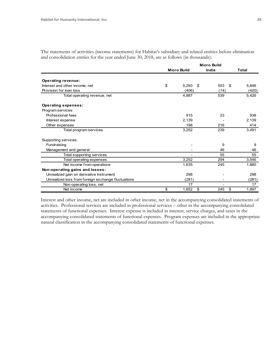|                                                    | Micro Build |                          |       |              |  |
|----------------------------------------------------|-------------|--------------------------|-------|--------------|--|
|                                                    |             | <b>Micro Build</b>       | India | <b>Total</b> |  |
| <b>Operating revenue:</b>                          |             |                          |       |              |  |
| Interest and other income, net                     | \$          | \$<br>5,293              | 553   | \$<br>5,846  |  |
| Provision for loan loss                            |             | (406)                    | (14)  | (420)        |  |
| Total operating revenue, net                       |             | 4,887                    | 539   | 5,426        |  |
| <b>Operating expenses:</b>                         |             |                          |       |              |  |
| Program services:                                  |             |                          |       |              |  |
| Professional fees                                  |             | 915                      | 23    | 938          |  |
| Interest expense                                   |             | 2,139                    |       | 2,139        |  |
| Other expenses                                     |             | 198                      | 216   | 414          |  |
| Total program services                             |             | 3,252                    | 239   | 3,491        |  |
| Supporting services:                               |             |                          |       |              |  |
| Fundraising                                        |             |                          | 9     | 9            |  |
| Management and general                             |             |                          | 46    | 46           |  |
| Total supporting services                          |             | $\overline{\phantom{0}}$ | 55    | 55           |  |
| Total operating expenses                           |             | 3,252                    | 294   | 3,546        |  |
| Net income from operations                         |             | 1,635                    | 245   | 1,880        |  |
| Non-operating gains and losses:                    |             |                          |       |              |  |
| Unrealized gain on derivative instrument           |             | 298                      |       | 298          |  |
| Unrealized loss from foreign exchange fluctuations |             | (281)                    |       | (281)        |  |
| Non-operating loss, net                            |             | 17                       |       | 17           |  |
| Net income                                         | \$          | \$<br>1,652              | 245   | \$<br>1,897  |  |

The statements of activities (income statements) for Habitat's subsidiary and related entities before elimination and consolidation entries for the year ended June 30, 2018, are as follows (in thousands):

Interest and other income, net are included in other income, net in the accompanying consolidated statements of activities. Professional services are included in professional services – other in the accompanying consolidated statements of functional expenses. Interest expense is included in interest, service charges, and taxes in the accompanying consolidated statements of functional expenses. Program expenses are included in the appropriate natural classification in the accompanying consolidated statements of functional expenses.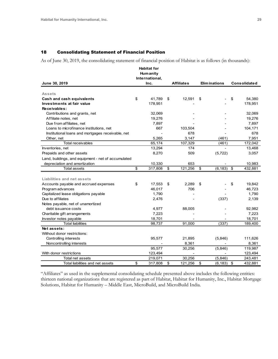# 18 Consolidating Statement of Financial Position

As of June 30, 2019, the consolidating statement of financial position of Habitat is as follows (in thousands):

|                                                     | <b>Habitat for</b><br>Humanity<br>International, |                   |                     |                     |
|-----------------------------------------------------|--------------------------------------------------|-------------------|---------------------|---------------------|
| June 30, 2019                                       | Inc.                                             | <b>Affiliates</b> | <b>Eliminations</b> | <b>Consolidated</b> |
| <b>Assets</b>                                       |                                                  |                   |                     |                     |
| Cash and cash equivalents                           | \$<br>41.789                                     | \$<br>12,591      | \$                  | \$<br>54.380        |
| Investments at fair value                           | 178,951                                          |                   |                     | 178,951             |
| Receivables:                                        |                                                  |                   |                     |                     |
| Contributions and grants, net                       | 32,069                                           |                   |                     | 32,069              |
| Affiliate notes, net                                | 19,276                                           |                   |                     | 19,276              |
| Due from affiliates, net                            | 7,897                                            |                   |                     | 7,897               |
| Loans to microfinance institutions, net             | 667                                              | 103,504           |                     | 104,171             |
| Institutional loans and mortgages receivable, net   |                                                  | 678               |                     | 678                 |
| Other, net                                          | 5,265                                            | 3,147             | (461)               | 7,951               |
| Total receivables                                   | 65,174                                           | 107,329           | (461)               | 172,042             |
| Inventories, net                                    | 13,294                                           | 174               |                     | 13,468              |
| Prepaids and other assets                           | 8,270                                            | 509               | (5, 722)            | 3,057               |
| Land, buildings, and equipment - net of accumulated |                                                  |                   |                     |                     |
| depreciation and amortization                       | 10,330                                           | 653               |                     | 10,983              |
| <b>Total assets</b>                                 | \$<br>317,808                                    | \$<br>121,256     | \$<br>(6, 183)      | \$<br>432,881       |
|                                                     |                                                  |                   |                     |                     |
| Liabilities and net assets                          |                                                  |                   |                     |                     |
| Accounts payable and accrued expenses               | \$<br>17,553                                     | \$<br>2,289       | \$                  | \$<br>19,842        |
| Program advances                                    | 46,017                                           | 706               |                     | 46,723              |
| Capitalized lease obligations payable               | 1,790                                            |                   |                     | 1,790               |
| Due to affiliates                                   | 2,476                                            |                   | (337)               | 2,139               |
| Notes payable, net of unamortized                   |                                                  |                   |                     |                     |
| debt issuance costs                                 | 4,977                                            | 88,005            |                     | 92,982              |
| Charitable gift arrangements                        | 7,223                                            |                   |                     | 7,223               |
| Investor notes payable                              | 18,701                                           |                   |                     | 18,701              |
| <b>Total liabilities</b>                            | 98,737                                           | 91,000            | (337)               | 189,400             |
| Net assets:                                         |                                                  |                   |                     |                     |
| Without donor restrictions:                         |                                                  |                   |                     |                     |
| Controlling interests                               | 95,577                                           | 21,895            | (5,846)             | 111,626             |
| Noncontrolling interests                            |                                                  | 8,361             |                     | 8,361               |
|                                                     | 95,577                                           | 30,256            | (5,846)             | 119,987             |
| With donor restrictions                             | 123,494                                          |                   |                     | 123,494             |
| Total net assets                                    | 219,071                                          | 30,256            | (5,846)             | 243,481             |
| Total liabilities and net assets                    | \$<br>317,808                                    | \$<br>121,256     | \$<br>(6, 183)      | \$<br>432,881       |

"Affiliates" as used in the supplemental consolidating schedule presented above includes the following entities: thirteen national organizations that are registered as part of Habitat, Habitat for Humanity, Inc., Habitat Mortgage Solutions, Habitat for Humanity – Middle East, MicroBuild, and MicroBuild India.